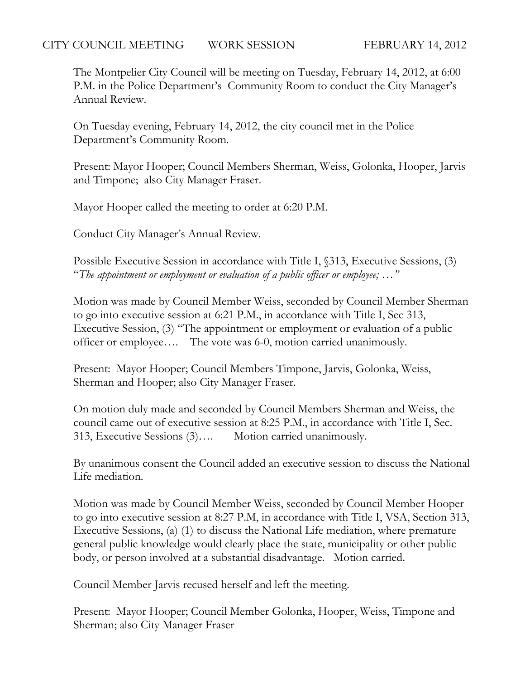The Montpelier City Council will be meeting on Tuesday, February 14, 2012, at 6:00 P.M. in the Police Department's Community Room to conduct the City Manager's Annual Review.

On Tuesday evening, February 14, 2012, the city council met in the Police Department's Community Room.

Present: Mayor Hooper; Council Members Sherman, Weiss, Golonka, Hooper, Jarvis and Timpone; also City Manager Fraser.

Mayor Hooper called the meeting to order at 6:20 P.M.

Conduct City Manager's Annual Review.

Possible Executive Session in accordance with Title I, §313, Executive Sessions, (3) "*The appointment or employment or evaluation of a public officer or employee; …"*

Motion was made by Council Member Weiss, seconded by Council Member Sherman to go into executive session at 6:21 P.M., in accordance with Title I, Sec 313, Executive Session, (3) "The appointment or employment or evaluation of a public officer or employee…. The vote was 6-0, motion carried unanimously.

Present: Mayor Hooper; Council Members Timpone, Jarvis, Golonka, Weiss, Sherman and Hooper; also City Manager Fraser.

On motion duly made and seconded by Council Members Sherman and Weiss, the council came out of executive session at 8:25 P.M., in accordance with Title I, Sec. 313, Executive Sessions (3)…. Motion carried unanimously.

By unanimous consent the Council added an executive session to discuss the National Life mediation.

Motion was made by Council Member Weiss, seconded by Council Member Hooper to go into executive session at 8:27 P.M, in accordance with Title I, VSA, Section 313, Executive Sessions, (a) (1) to discuss the National Life mediation, where premature general public knowledge would clearly place the state, municipality or other public body, or person involved at a substantial disadvantage. Motion carried.

Council Member Jarvis recused herself and left the meeting.

Present: Mayor Hooper; Council Member Golonka, Hooper, Weiss, Timpone and Sherman; also City Manager Fraser